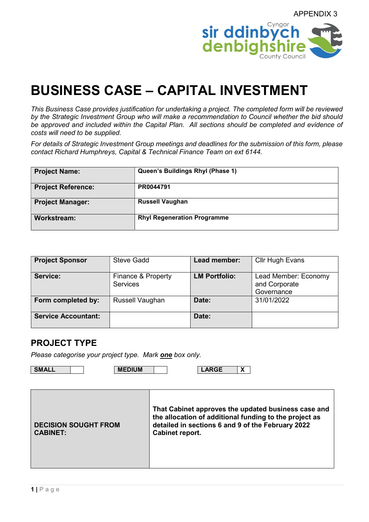

# BUSINESS CASE – CAPITAL INVESTMENT

This Business Case provides justification for undertaking a project. The completed form will be reviewed by the Strategic Investment Group who will make a recommendation to Council whether the bid should be approved and included within the Capital Plan. All sections should be completed and evidence of costs will need to be supplied.

For details of Strategic Investment Group meetings and deadlines for the submission of this form, please contact Richard Humphreys, Capital & Technical Finance Team on ext 6144.

| <b>Project Name:</b>      | Queen's Buildings Rhyl (Phase 1)   |
|---------------------------|------------------------------------|
| <b>Project Reference:</b> | PR0044791                          |
| <b>Project Manager:</b>   | <b>Russell Vaughan</b>             |
| Workstream:               | <b>Rhyl Regeneration Programme</b> |

| <b>Project Sponsor</b>     | <b>Steve Gadd</b>                     | Lead member:         | Cllr Hugh Evans                                     |
|----------------------------|---------------------------------------|----------------------|-----------------------------------------------------|
| Service:                   | Finance & Property<br><b>Services</b> | <b>LM Portfolio:</b> | Lead Member: Economy<br>and Corporate<br>Governance |
| Form completed by:         | Russell Vaughan                       | Date:                | 31/01/2022                                          |
| <b>Service Accountant:</b> |                                       | Date:                |                                                     |

#### PROJECT TYPE

Please categorise your project type. Mark one box only.

SMALL | MEDIUM | LARGE X

| <b>DECISION SOUGHT FROM</b><br><b>CABINET:</b> | That Cabinet approves the updated business case and<br>the allocation of additional funding to the project as<br>detailed in sections 6 and 9 of the February 2022<br>Cabinet report. |
|------------------------------------------------|---------------------------------------------------------------------------------------------------------------------------------------------------------------------------------------|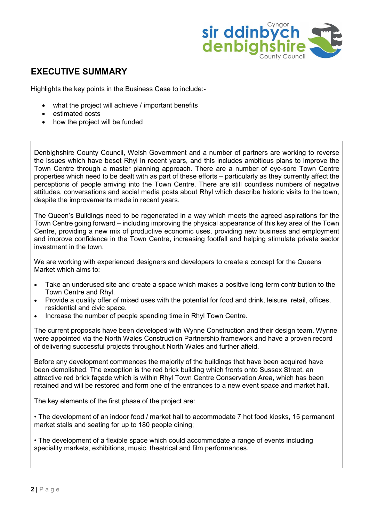

# EXECUTIVE SUMMARY

Highlights the key points in the Business Case to include:-

- what the project will achieve / important benefits
- estimated costs
- how the project will be funded

Denbighshire County Council, Welsh Government and a number of partners are working to reverse the issues which have beset Rhyl in recent years, and this includes ambitious plans to improve the Town Centre through a master planning approach. There are a number of eye-sore Town Centre properties which need to be dealt with as part of these efforts – particularly as they currently affect the perceptions of people arriving into the Town Centre. There are still countless numbers of negative attitudes, conversations and social media posts about Rhyl which describe historic visits to the town, despite the improvements made in recent years.

The Queen's Buildings need to be regenerated in a way which meets the agreed aspirations for the Town Centre going forward – including improving the physical appearance of this key area of the Town Centre, providing a new mix of productive economic uses, providing new business and employment and improve confidence in the Town Centre, increasing footfall and helping stimulate private sector investment in the town.

We are working with experienced designers and developers to create a concept for the Queens Market which aims to:

- Take an underused site and create a space which makes a positive long-term contribution to the Town Centre and Rhyl.
- Provide a quality offer of mixed uses with the potential for food and drink, leisure, retail, offices, residential and civic space.
- Increase the number of people spending time in Rhyl Town Centre.

The current proposals have been developed with Wynne Construction and their design team. Wynne were appointed via the North Wales Construction Partnership framework and have a proven record of delivering successful projects throughout North Wales and further afield.

Before any development commences the majority of the buildings that have been acquired have been demolished. The exception is the red brick building which fronts onto Sussex Street, an attractive red brick façade which is within Rhyl Town Centre Conservation Area, which has been retained and will be restored and form one of the entrances to a new event space and market hall.

The key elements of the first phase of the project are:

• The development of an indoor food / market hall to accommodate 7 hot food kiosks, 15 permanent market stalls and seating for up to 180 people dining;

• The development of a flexible space which could accommodate a range of events including speciality markets, exhibitions, music, theatrical and film performances.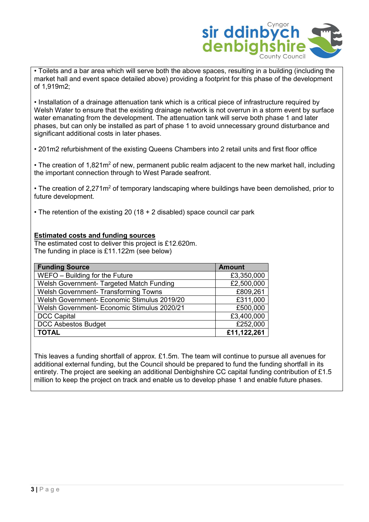

• Toilets and a bar area which will serve both the above spaces, resulting in a building (including the market hall and event space detailed above) providing a footprint for this phase of the development of 1,919m2;

• Installation of a drainage attenuation tank which is a critical piece of infrastructure required by Welsh Water to ensure that the existing drainage network is not overrun in a storm event by surface water emanating from the development. The attenuation tank will serve both phase 1 and later phases, but can only be installed as part of phase 1 to avoid unnecessary ground disturbance and significant additional costs in later phases.

• 201m2 refurbishment of the existing Queens Chambers into 2 retail units and first floor office

• The creation of 1,821m<sup>2</sup> of new, permanent public realm adjacent to the new market hall, including the important connection through to West Parade seafront.

• The creation of 2,271m<sup>2</sup> of temporary landscaping where buildings have been demolished, prior to future development.

• The retention of the existing 20 (18 + 2 disabled) space council car park

#### Estimated costs and funding sources

The estimated cost to deliver this project is £12.620m. The funding in place is £11.122m (see below)

| <b>Funding Source</b>                       | <b>Amount</b> |
|---------------------------------------------|---------------|
| WEFO - Building for the Future              | £3,350,000    |
| Welsh Government- Targeted Match Funding    | £2,500,000    |
| Welsh Government- Transforming Towns        | £809,261      |
| Welsh Government- Economic Stimulus 2019/20 | £311,000      |
| Welsh Government- Economic Stimulus 2020/21 | £500,000      |
| <b>DCC Capital</b>                          | £3,400,000    |
| <b>DCC Asbestos Budget</b>                  | £252,000      |
| <b>TOTAL</b>                                | £11,122,261   |

This leaves a funding shortfall of approx. £1.5m. The team will continue to pursue all avenues for additional external funding, but the Council should be prepared to fund the funding shortfall in its entirety. The project are seeking an additional Denbighshire CC capital funding contribution of £1.5 million to keep the project on track and enable us to develop phase 1 and enable future phases.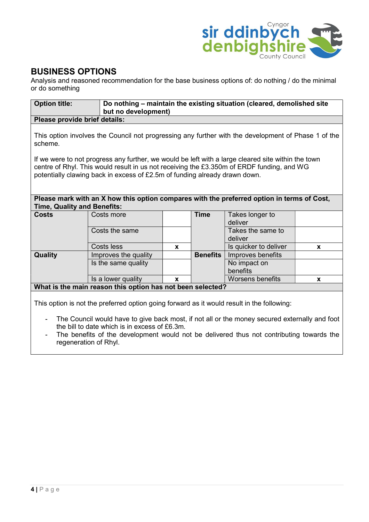

#### BUSINESS OPTIONS

Analysis and reasoned recommendation for the base business options of: do nothing / do the minimal or do something

| <b>Option title:</b>                                                                                                                                                                                                                                                                                                         |                                                            | Do nothing - maintain the existing situation (cleared, demolished site<br>but no development) |                 |                                                                                            |              |  |
|------------------------------------------------------------------------------------------------------------------------------------------------------------------------------------------------------------------------------------------------------------------------------------------------------------------------------|------------------------------------------------------------|-----------------------------------------------------------------------------------------------|-----------------|--------------------------------------------------------------------------------------------|--------------|--|
| Please provide brief details:                                                                                                                                                                                                                                                                                                |                                                            |                                                                                               |                 |                                                                                            |              |  |
| This option involves the Council not progressing any further with the development of Phase 1 of the<br>scheme.                                                                                                                                                                                                               |                                                            |                                                                                               |                 |                                                                                            |              |  |
| If we were to not progress any further, we would be left with a large cleared site within the town<br>centre of Rhyl. This would result in us not receiving the £3.350m of ERDF funding, and WG<br>potentially clawing back in excess of £2.5m of funding already drawn down.                                                |                                                            |                                                                                               |                 |                                                                                            |              |  |
| <b>Time, Quality and Benefits:</b>                                                                                                                                                                                                                                                                                           |                                                            |                                                                                               |                 | Please mark with an X how this option compares with the preferred option in terms of Cost, |              |  |
| <b>Costs</b>                                                                                                                                                                                                                                                                                                                 | Costs more                                                 |                                                                                               | <b>Time</b>     | Takes longer to<br>deliver                                                                 |              |  |
|                                                                                                                                                                                                                                                                                                                              | Costs the same                                             |                                                                                               |                 | Takes the same to<br>deliver                                                               |              |  |
|                                                                                                                                                                                                                                                                                                                              | Costs less                                                 | X                                                                                             |                 | Is quicker to deliver                                                                      | $\mathbf{x}$ |  |
| Quality                                                                                                                                                                                                                                                                                                                      | Improves the quality                                       |                                                                                               | <b>Benefits</b> | Improves benefits                                                                          |              |  |
|                                                                                                                                                                                                                                                                                                                              | Is the same quality                                        |                                                                                               |                 | No impact on<br>benefits                                                                   |              |  |
|                                                                                                                                                                                                                                                                                                                              | Is a lower quality                                         | X                                                                                             |                 | <b>Worsens benefits</b>                                                                    | X            |  |
|                                                                                                                                                                                                                                                                                                                              | What is the main reason this option has not been selected? |                                                                                               |                 |                                                                                            |              |  |
| This option is not the preferred option going forward as it would result in the following:<br>the state of the state of the state of the state of the state of the state of the state of the state of the state of the state of the state of the state of the state of the state of the state of the state of the state of t |                                                            |                                                                                               |                 |                                                                                            |              |  |

- The Council would have to give back most, if not all or the money secured externally and foot the bill to date which is in excess of £6.3m.
- The benefits of the development would not be delivered thus not contributing towards the regeneration of Rhyl.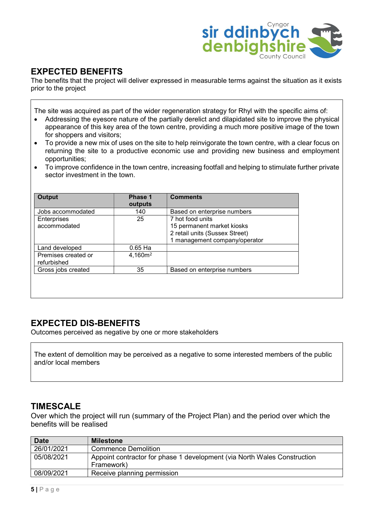

# EXPECTED BENEFITS

The benefits that the project will deliver expressed in measurable terms against the situation as it exists prior to the project

The site was acquired as part of the wider regeneration strategy for Rhyl with the specific aims of:

- Addressing the eyesore nature of the partially derelict and dilapidated site to improve the physical appearance of this key area of the town centre, providing a much more positive image of the town for shoppers and visitors;
- To provide a new mix of uses on the site to help reinvigorate the town centre, with a clear focus on returning the site to a productive economic use and providing new business and employment opportunities;
- To improve confidence in the town centre, increasing footfall and helping to stimulate further private sector investment in the town.

| <b>Output</b>                      | Phase 1<br>outputs  | <b>Comments</b>                                                                                                   |
|------------------------------------|---------------------|-------------------------------------------------------------------------------------------------------------------|
| Jobs accommodated                  | 140                 | Based on enterprise numbers                                                                                       |
| Enterprises<br>accommodated        | 25                  | 7 hot food units<br>15 permanent market kiosks<br>2 retail units (Sussex Street)<br>1 management company/operator |
| Land developed                     | $0.65$ Ha           |                                                                                                                   |
| Premises created or<br>refurbished | 4,160m <sup>2</sup> |                                                                                                                   |
| Gross jobs created                 | 35                  | Based on enterprise numbers                                                                                       |
|                                    |                     |                                                                                                                   |

# EXPECTED DIS-BENEFITS

Outcomes perceived as negative by one or more stakeholders

The extent of demolition may be perceived as a negative to some interested members of the public and/or local members

#### **TIMESCALE**

Over which the project will run (summary of the Project Plan) and the period over which the benefits will be realised

| <b>Date</b> | <b>Milestone</b>                                                         |
|-------------|--------------------------------------------------------------------------|
| 26/01/2021  | <b>Commence Demolition</b>                                               |
| 05/08/2021  | Appoint contractor for phase 1 development (via North Wales Construction |
|             | Framework)                                                               |
| 08/09/2021  | Receive planning permission                                              |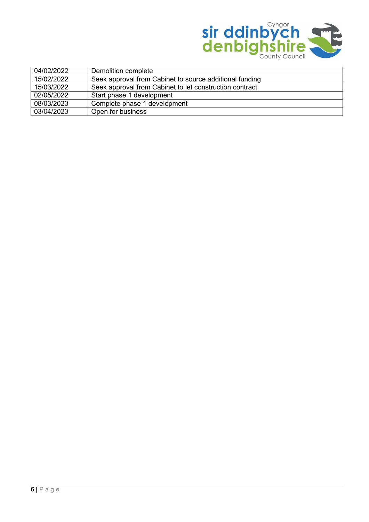

| 04/02/2022 | Demolition complete                                     |
|------------|---------------------------------------------------------|
| 15/02/2022 | Seek approval from Cabinet to source additional funding |
| 15/03/2022 | Seek approval from Cabinet to let construction contract |
| 02/05/2022 | Start phase 1 development                               |
| 08/03/2023 | Complete phase 1 development                            |
| 03/04/2023 | Open for business                                       |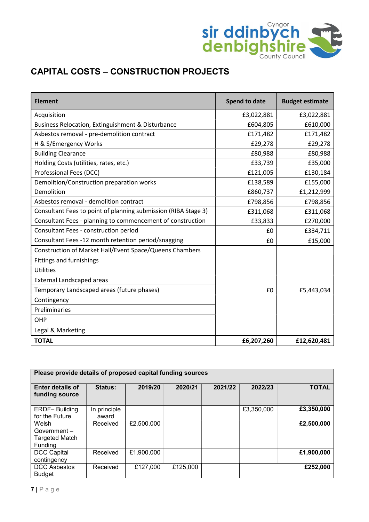

# CAPITAL COSTS – CONSTRUCTION PROJECTS

| <b>Element</b>                                                 | <b>Spend to date</b> | <b>Budget estimate</b> |
|----------------------------------------------------------------|----------------------|------------------------|
| Acquisition                                                    | £3,022,881           | £3,022,881             |
| Business Relocation, Extinguishment & Disturbance              | £604,805             | £610,000               |
| Asbestos removal - pre-demolition contract                     | £171,482             | £171,482               |
| H & S/Emergency Works                                          | £29,278              | £29,278                |
| <b>Building Clearance</b>                                      | £80,988              | £80,988                |
| Holding Costs (utilities, rates, etc.)                         | £33,739              | £35,000                |
| Professional Fees (DCC)                                        | £121,005             | £130,184               |
| Demolition/Construction preparation works                      | £138,589             | £155,000               |
| Demolition                                                     | £860,737             | £1,212,999             |
| Asbestos removal - demolition contract                         | £798,856             | £798,856               |
| Consultant Fees to point of planning submission (RIBA Stage 3) | £311,068             | £311,068               |
| Consultant Fees - planning to commencement of construction     | £33,833              | £270,000               |
| Consultant Fees - construction period                          | £0                   | £334,711               |
| Consultant Fees -12 month retention period/snagging            | £0                   | £15,000                |
| Construction of Market Hall/Event Space/Queens Chambers        |                      |                        |
| <b>Fittings and furnishings</b>                                |                      |                        |
| <b>Utilities</b>                                               |                      |                        |
| <b>External Landscaped areas</b>                               |                      |                        |
| Temporary Landscaped areas (future phases)                     | £0                   | £5,443,034             |
| Contingency                                                    |                      |                        |
| Preliminaries                                                  |                      |                        |
| OHP                                                            |                      |                        |
| Legal & Marketing                                              |                      |                        |
| <b>TOTAL</b>                                                   | £6,207,260           | £12,620,481            |

| Please provide details of proposed capital funding sources  |                       |            |          |         |            |              |
|-------------------------------------------------------------|-----------------------|------------|----------|---------|------------|--------------|
| <b>Enter details of</b><br>funding source                   | <b>Status:</b>        | 2019/20    | 2020/21  | 2021/22 | 2022/23    | <b>TOTAL</b> |
| <b>ERDF-Building</b><br>for the Future                      | In principle<br>award |            |          |         | £3,350,000 | £3,350,000   |
| Welsh<br>$Government -$<br><b>Targeted Match</b><br>Funding | Received              | £2,500,000 |          |         |            | £2,500,000   |
| <b>DCC Capital</b><br>contingency                           | Received              | £1,900,000 |          |         |            | £1,900,000   |
| <b>DCC Asbestos</b><br><b>Budget</b>                        | Received              | £127,000   | £125,000 |         |            | £252,000     |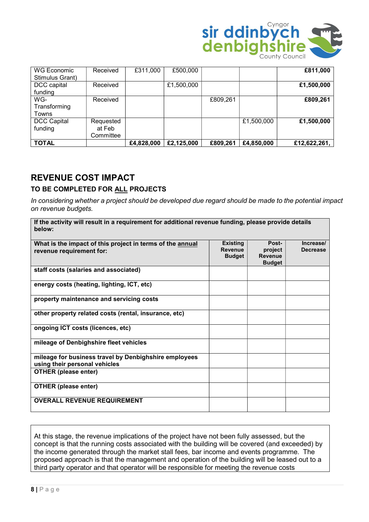

| WG Economic<br>Stimulus Grant) | Received                         | £311,000   | £500,000   |          |            | £811,000     |
|--------------------------------|----------------------------------|------------|------------|----------|------------|--------------|
| DCC capital<br>funding         | Received                         |            | £1,500,000 |          |            | £1,500,000   |
| WG-<br>Transforming<br>Towns   | Received                         |            |            | £809,261 |            | £809,261     |
| <b>DCC Capital</b><br>funding  | Requested<br>at Feb<br>Committee |            |            |          | £1,500,000 | £1,500,000   |
| <b>TOTAL</b>                   |                                  | £4,828,000 | £2,125,000 | £809,261 | £4,850,000 | £12,622,261, |

#### REVENUE COST IMPACT

#### TO BE COMPLETED FOR ALL PROJECTS

In considering whether a project should be developed due regard should be made to the potential impact on revenue budgets.

| If the activity will result in a requirement for additional revenue funding, please provide details<br>below: |                                                    |                                                     |                              |
|---------------------------------------------------------------------------------------------------------------|----------------------------------------------------|-----------------------------------------------------|------------------------------|
| What is the impact of this project in terms of the annual<br>revenue requirement for:                         | <b>Existing</b><br><b>Revenue</b><br><b>Budget</b> | Post-<br>project<br><b>Revenue</b><br><b>Budget</b> | Increase/<br><b>Decrease</b> |
| staff costs (salaries and associated)                                                                         |                                                    |                                                     |                              |
| energy costs (heating, lighting, ICT, etc)                                                                    |                                                    |                                                     |                              |
| property maintenance and servicing costs                                                                      |                                                    |                                                     |                              |
| other property related costs (rental, insurance, etc)                                                         |                                                    |                                                     |                              |
| ongoing ICT costs (licences, etc)                                                                             |                                                    |                                                     |                              |
| mileage of Denbighshire fleet vehicles                                                                        |                                                    |                                                     |                              |
| mileage for business travel by Denbighshire employees<br>using their personal vehicles                        |                                                    |                                                     |                              |
| <b>OTHER (please enter)</b>                                                                                   |                                                    |                                                     |                              |
| <b>OTHER (please enter)</b>                                                                                   |                                                    |                                                     |                              |
| <b>OVERALL REVENUE REQUIREMENT</b>                                                                            |                                                    |                                                     |                              |

At this stage, the revenue implications of the project have not been fully assessed, but the concept is that the running costs associated with the building will be covered (and exceeded) by the income generated through the market stall fees, bar income and events programme. The proposed approach is that the management and operation of the building will be leased out to a third party operator and that operator will be responsible for meeting the revenue costs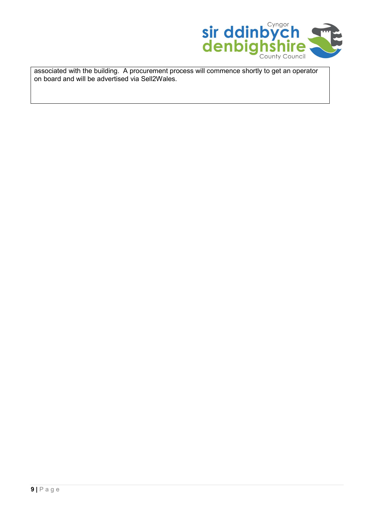

associated with the building. A procurement process will commence shortly to get an operator on board and will be advertised via Sell2Wales.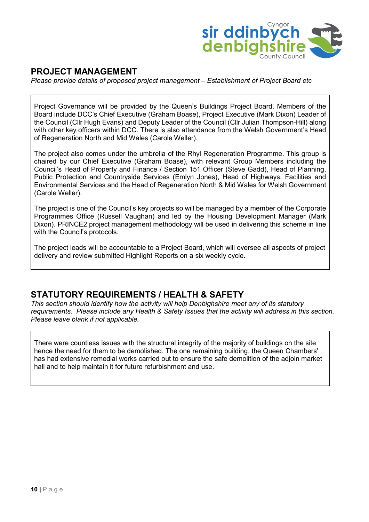

# PROJECT MANAGEMENT

Please provide details of proposed project management – Establishment of Project Board etc

Project Governance will be provided by the Queen's Buildings Project Board. Members of the Board include DCC's Chief Executive (Graham Boase), Project Executive (Mark Dixon) Leader of the Council (Cllr Hugh Evans) and Deputy Leader of the Council (Cllr Julian Thompson-Hill) along with other key officers within DCC. There is also attendance from the Welsh Government's Head of Regeneration North and Mid Wales (Carole Weller).

The project also comes under the umbrella of the Rhyl Regeneration Programme. This group is chaired by our Chief Executive (Graham Boase), with relevant Group Members including the Council's Head of Property and Finance / Section 151 Officer (Steve Gadd), Head of Planning, Public Protection and Countryside Services (Emlyn Jones), Head of Highways, Facilities and Environmental Services and the Head of Regeneration North & Mid Wales for Welsh Government (Carole Weller).

The project is one of the Council's key projects so will be managed by a member of the Corporate Programmes Office (Russell Vaughan) and led by the Housing Development Manager (Mark Dixon). PRINCE2 project management methodology will be used in delivering this scheme in line with the Council's protocols.

The project leads will be accountable to a Project Board, which will oversee all aspects of project delivery and review submitted Highlight Reports on a six weekly cycle.

#### STATUTORY REQUIREMENTS / HEALTH & SAFETY

This section should identify how the activity will help Denbighshire meet any of its statutory requirements. Please include any Health & Safety Issues that the activity will address in this section. Please leave blank if not applicable.

There were countless issues with the structural integrity of the majority of buildings on the site hence the need for them to be demolished. The one remaining building, the Queen Chambers' has had extensive remedial works carried out to ensure the safe demolition of the adjoin market hall and to help maintain it for future refurbishment and use.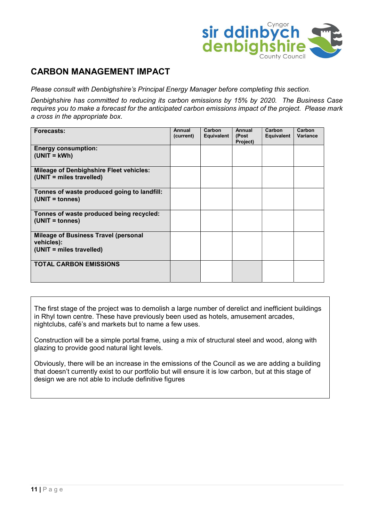

#### CARBON MANAGEMENT IMPACT

Please consult with Denbighshire's Principal Energy Manager before completing this section.

Denbighshire has committed to reducing its carbon emissions by 15% by 2020. The Business Case requires you to make a forecast for the anticipated carbon emissions impact of the project. Please mark a cross in the appropriate box.

| Forecasts:                                                                            | Annual<br>(current) | Carbon<br>Equivalent | Annual<br>(Post<br>Project) | Carbon<br>Equivalent | Carbon<br>Variance |
|---------------------------------------------------------------------------------------|---------------------|----------------------|-----------------------------|----------------------|--------------------|
| <b>Energy consumption:</b><br>$(UNIT = kWh)$                                          |                     |                      |                             |                      |                    |
| <b>Mileage of Denbighshire Fleet vehicles:</b><br>(UNIT = miles travelled)            |                     |                      |                             |                      |                    |
| Tonnes of waste produced going to landfill:<br>(UNIT = tonnes)                        |                     |                      |                             |                      |                    |
| Tonnes of waste produced being recycled:<br>(UNIT = tonnes)                           |                     |                      |                             |                      |                    |
| <b>Mileage of Business Travel (personal</b><br>vehicles):<br>(UNIT = miles travelled) |                     |                      |                             |                      |                    |
| <b>TOTAL CARBON EMISSIONS</b>                                                         |                     |                      |                             |                      |                    |

The first stage of the project was to demolish a large number of derelict and inefficient buildings in Rhyl town centre. These have previously been used as hotels, amusement arcades, nightclubs, café's and markets but to name a few uses.

Construction will be a simple portal frame, using a mix of structural steel and wood, along with glazing to provide good natural light levels.

Obviously, there will be an increase in the emissions of the Council as we are adding a building that doesn't currently exist to our portfolio but will ensure it is low carbon, but at this stage of design we are not able to include definitive figures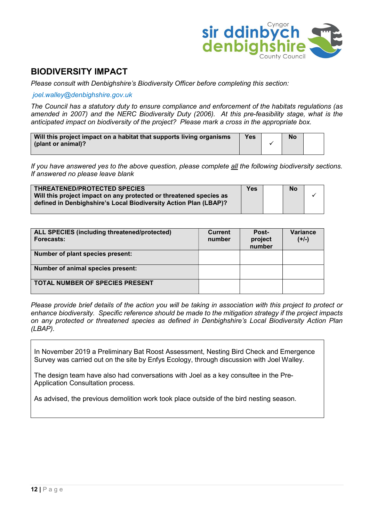

### BIODIVERSITY IMPACT

Please consult with Denbighshire's Biodiversity Officer before completing this section:

#### joel.walley@denbighshire.gov.uk

The Council has a statutory duty to ensure compliance and enforcement of the habitats regulations (as amended in 2007) and the NERC Biodiversity Duty (2006). At this pre-feasibility stage, what is the anticipated impact on biodiversity of the project? Please mark a cross in the appropriate box.

| Will this project impact on a habitat that supports living organisms | Yes | No |  |
|----------------------------------------------------------------------|-----|----|--|
| (plant or animal)?                                                   |     |    |  |
|                                                                      |     |    |  |

If you have answered yes to the above question, please complete all the following biodiversity sections. If answered no please leave blank

| <b>THREATENED/PROTECTED SPECIES</b>                                | <b>Yes</b> | <b>No</b> |  |
|--------------------------------------------------------------------|------------|-----------|--|
| Will this project impact on any protected or threatened species as |            |           |  |
| defined in Denbighshire's Local Biodiversity Action Plan (LBAP)?   |            |           |  |
|                                                                    |            |           |  |

| <b>ALL SPECIES (including threatened/protected)</b><br>Forecasts: | <b>Current</b><br>number | Post-<br>project<br>number | Variance<br>$(+/-)$ |
|-------------------------------------------------------------------|--------------------------|----------------------------|---------------------|
| Number of plant species present:                                  |                          |                            |                     |
| Number of animal species present:                                 |                          |                            |                     |
| <b>TOTAL NUMBER OF SPECIES PRESENT</b>                            |                          |                            |                     |

Please provide brief details of the action you will be taking in association with this project to protect or enhance biodiversity. Specific reference should be made to the mitigation strategy if the project impacts on any protected or threatened species as defined in Denbighshire's Local Biodiversity Action Plan (LBAP).

In November 2019 a Preliminary Bat Roost Assessment, Nesting Bird Check and Emergence Survey was carried out on the site by Enfys Ecology, through discussion with Joel Walley.

The design team have also had conversations with Joel as a key consultee in the Pre-Application Consultation process.

As advised, the previous demolition work took place outside of the bird nesting season.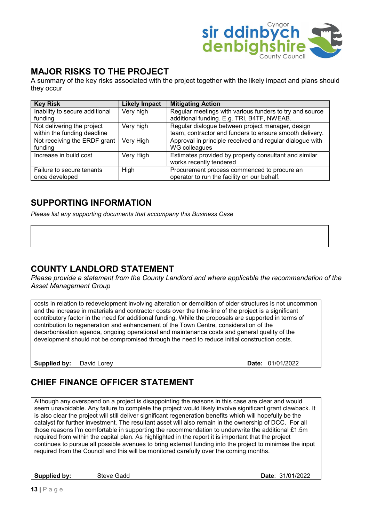

# MAJOR RISKS TO THE PROJECT

A summary of the key risks associated with the project together with the likely impact and plans should they occur

| <b>Key Risk</b>                | <b>Likely Impact</b> | <b>Mitigating Action</b>                                 |
|--------------------------------|----------------------|----------------------------------------------------------|
| Inability to secure additional | Very high            | Regular meetings with various funders to try and source  |
| funding                        |                      | additional funding. E.g. TRI, B4TF, NWEAB.               |
| Not delivering the project     | Very high            | Regular dialogue between project manager, design         |
| within the funding deadline    |                      | team, contractor and funders to ensure smooth delivery.  |
| Not receiving the ERDF grant   | Very High            | Approval in principle received and regular dialogue with |
| funding                        |                      | WG colleagues                                            |
| Increase in build cost         | Very High            | Estimates provided by property consultant and similar    |
|                                |                      | works recently tendered                                  |
| Failure to secure tenants      | High                 | Procurement process commenced to procure an              |
| once developed                 |                      | operator to run the facility on our behalf.              |

#### SUPPORTING INFORMATION

Please list any supporting documents that accompany this Business Case

# COUNTY LANDLORD STATEMENT

Please provide a statement from the County Landlord and where applicable the recommendation of the Asset Management Group

costs in relation to redevelopment involving alteration or demolition of older structures is not uncommon and the increase in materials and contractor costs over the time-line of the project is a significant contributory factor in the need for additional funding. While the proposals are supported in terms of contribution to regeneration and enhancement of the Town Centre, consideration of the decarbonisation agenda, ongoing operational and maintenance costs and general quality of the development should not be compromised through the need to reduce initial construction costs.

Supplied by: David Lorey **Date: 01/01/2022** 

# CHIEF FINANCE OFFICER STATEMENT

Although any overspend on a project is disappointing the reasons in this case are clear and would seem unavoidable. Any failure to complete the project would likely involve significant grant clawback. It is also clear the project will still deliver significant regeneration benefits which will hopefully be the catalyst for further investment. The resultant asset will also remain in the ownership of DCC. For all those reasons I'm comfortable in supporting the recommendation to underwrite the additional £1.5m required from within the capital plan. As highlighted in the report it is important that the project continues to pursue all possible avenues to bring external funding into the project to minimise the input required from the Council and this will be monitored carefully over the coming months.

Supplied by: Steve Gadd **Supplied by:** Steve Gadd **Date: 31/01/2022**